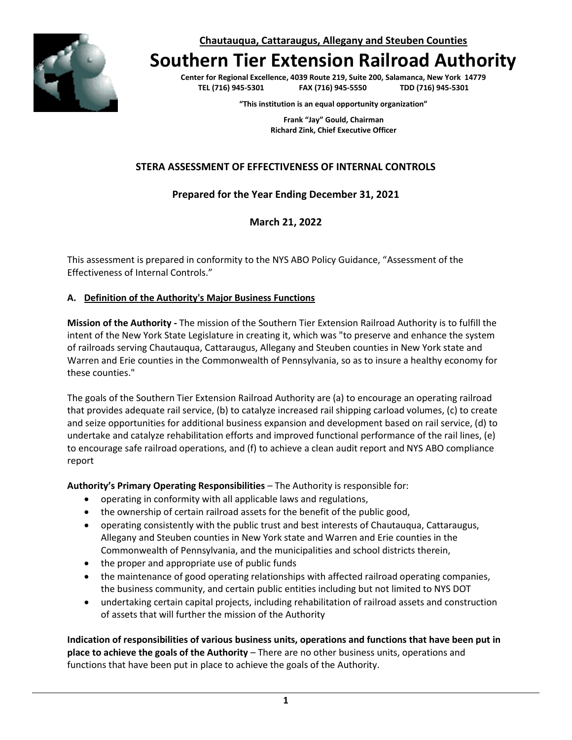**Chautauqua, Cattaraugus, Allegany and Steuben Counties**



# **Southern Tier Extension Railroad Authority**

**Center for Regional Excellence, 4039 Route 219, Suite 200, Salamanca, New York 14779 TEL (716) 945-5301 FAX (716) 945-5550 TDD (716) 945-5301**

**"This institution is an equal opportunity organization"**

**Frank "Jay" Gould, Chairman Richard Zink, Chief Executive Officer**

# **STERA ASSESSMENT OF EFFECTIVENESS OF INTERNAL CONTROLS**

# **Prepared for the Year Ending December 31, 2021**

## **March 21, 2022**

This assessment is prepared in conformity to the NYS ABO Policy Guidance, "Assessment of the Effectiveness of Internal Controls."

## **A. Definition of the Authority's Major Business Functions**

**Mission of the Authority -** The mission of the Southern Tier Extension Railroad Authority is to fulfill the intent of the New York State Legislature in creating it, which was "to preserve and enhance the system of railroads serving Chautauqua, Cattaraugus, Allegany and Steuben counties in New York state and Warren and Erie counties in the Commonwealth of Pennsylvania, so as to insure a healthy economy for these counties."

The goals of the Southern Tier Extension Railroad Authority are (a) to encourage an operating railroad that provides adequate rail service, (b) to catalyze increased rail shipping carload volumes, (c) to create and seize opportunities for additional business expansion and development based on rail service, (d) to undertake and catalyze rehabilitation efforts and improved functional performance of the rail lines, (e) to encourage safe railroad operations, and (f) to achieve a clean audit report and NYS ABO compliance report

**Authority's Primary Operating Responsibilities** – The Authority is responsible for:

- operating in conformity with all applicable laws and regulations,
- the ownership of certain railroad assets for the benefit of the public good,
- operating consistently with the public trust and best interests of Chautauqua, Cattaraugus, Allegany and Steuben counties in New York state and Warren and Erie counties in the Commonwealth of Pennsylvania, and the municipalities and school districts therein,
- the proper and appropriate use of public funds
- the maintenance of good operating relationships with affected railroad operating companies, the business community, and certain public entities including but not limited to NYS DOT
- undertaking certain capital projects, including rehabilitation of railroad assets and construction of assets that will further the mission of the Authority

**Indication of responsibilities of various business units, operations and functions that have been put in place to achieve the goals of the Authority** – There are no other business units, operations and functions that have been put in place to achieve the goals of the Authority.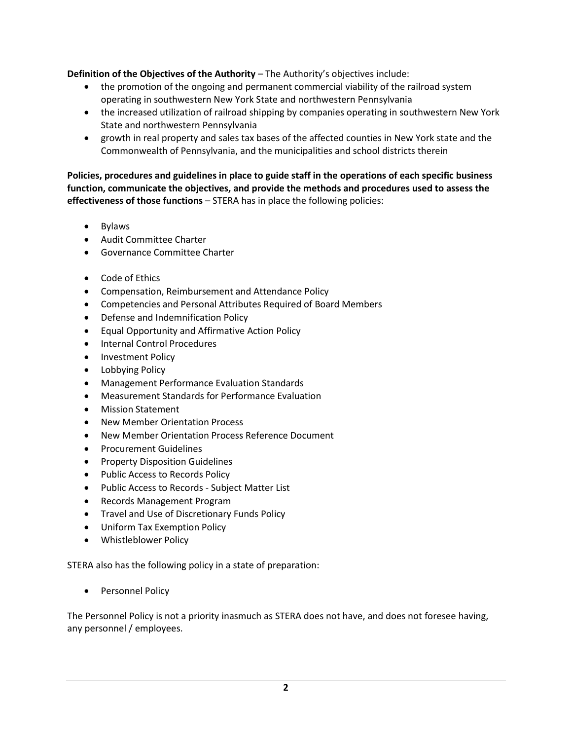**Definition of the Objectives of the Authority** – The Authority's objectives include:

- the promotion of the ongoing and permanent commercial viability of the railroad system operating in southwestern New York State and northwestern Pennsylvania
- the increased utilization of railroad shipping by companies operating in southwestern New York State and northwestern Pennsylvania
- growth in real property and sales tax bases of the affected counties in New York state and the Commonwealth of Pennsylvania, and the municipalities and school districts therein

**Policies, procedures and guidelines in place to guide staff in the operations of each specific business function, communicate the objectives, and provide the methods and procedures used to assess the effectiveness of those functions** – STERA has in place the following policies:

- Bylaws
- Audit Committee Charter
- Governance Committee Charter
- Code of Ethics
- Compensation, Reimbursement and Attendance Policy
- Competencies and Personal Attributes Required of Board Members
- Defense and Indemnification Policy
- Equal Opportunity and Affirmative Action Policy
- Internal Control Procedures
- Investment Policy
- Lobbying Policy
- Management Performance Evaluation Standards
- Measurement Standards for Performance Evaluation
- Mission Statement
- New Member Orientation Process
- New Member Orientation Process Reference Document
- Procurement Guidelines
- Property Disposition Guidelines
- Public Access to Records Policy
- Public Access to Records Subject Matter List
- Records Management Program
- Travel and Use of Discretionary Funds Policy
- Uniform Tax Exemption Policy
- Whistleblower Policy

STERA also has the following policy in a state of preparation:

• Personnel Policy

The Personnel Policy is not a priority inasmuch as STERA does not have, and does not foresee having, any personnel / employees.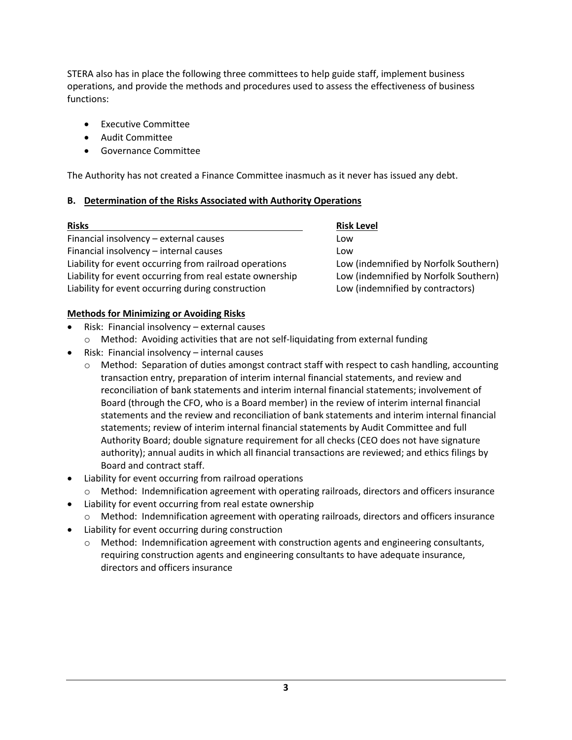STERA also has in place the following three committees to help guide staff, implement business operations, and provide the methods and procedures used to assess the effectiveness of business functions:

- Executive Committee
- Audit Committee
- Governance Committee

The Authority has not created a Finance Committee inasmuch as it never has issued any debt.

#### **B. Determination of the Risks Associated with Authority Operations**

| <b>Risks</b>                                             | <b>Risk Level</b>                     |
|----------------------------------------------------------|---------------------------------------|
| Financial insolvency - external causes                   | Low                                   |
| Financial insolvency - internal causes                   | Low                                   |
| Liability for event occurring from railroad operations   | Low (indemnified by Norfolk Southern) |
| Liability for event occurring from real estate ownership | Low (indemnified by Norfolk Southern) |
| Liability for event occurring during construction        | Low (indemnified by contractors)      |

#### **Methods for Minimizing or Avoiding Risks**

- Risk: Financial insolvency external causes
	- o Method: Avoiding activities that are not self-liquidating from external funding
- Risk: Financial insolvency internal causes
	- $\circ$  Method: Separation of duties amongst contract staff with respect to cash handling, accounting transaction entry, preparation of interim internal financial statements, and review and reconciliation of bank statements and interim internal financial statements; involvement of Board (through the CFO, who is a Board member) in the review of interim internal financial statements and the review and reconciliation of bank statements and interim internal financial statements; review of interim internal financial statements by Audit Committee and full Authority Board; double signature requirement for all checks (CEO does not have signature authority); annual audits in which all financial transactions are reviewed; and ethics filings by Board and contract staff.
- Liability for event occurring from railroad operations
- o Method: Indemnification agreement with operating railroads, directors and officers insurance
- Liability for event occurring from real estate ownership
	- o Method: Indemnification agreement with operating railroads, directors and officers insurance
- Liability for event occurring during construction
	- o Method: Indemnification agreement with construction agents and engineering consultants, requiring construction agents and engineering consultants to have adequate insurance, directors and officers insurance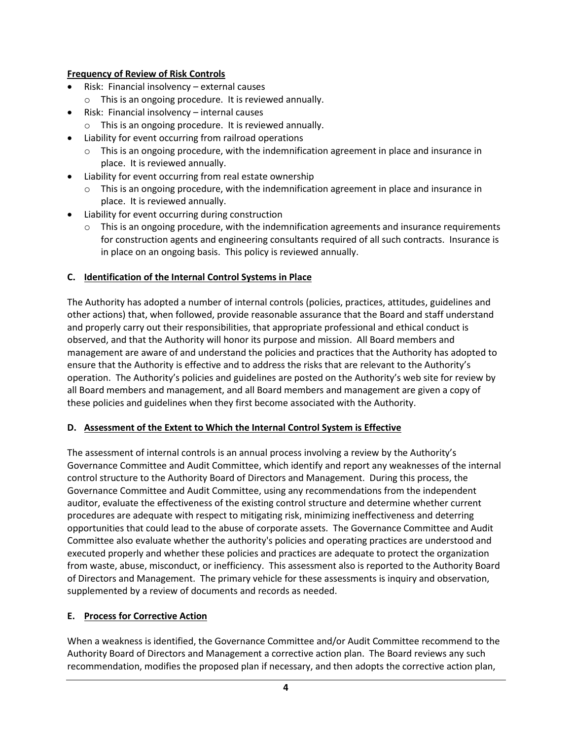## **Frequency of Review of Risk Controls**

- Risk: Financial insolvency external causes
	- o This is an ongoing procedure. It is reviewed annually.
- Risk: Financial insolvency internal causes
	- o This is an ongoing procedure. It is reviewed annually.
- Liability for event occurring from railroad operations
	- $\circ$  This is an ongoing procedure, with the indemnification agreement in place and insurance in place. It is reviewed annually.
- Liability for event occurring from real estate ownership
	- $\circ$  This is an ongoing procedure, with the indemnification agreement in place and insurance in place. It is reviewed annually.
- Liability for event occurring during construction
	- $\circ$  This is an ongoing procedure, with the indemnification agreements and insurance requirements for construction agents and engineering consultants required of all such contracts. Insurance is in place on an ongoing basis. This policy is reviewed annually.

## **C. Identification of the Internal Control Systems in Place**

The Authority has adopted a number of internal controls (policies, practices, attitudes, guidelines and other actions) that, when followed, provide reasonable assurance that the Board and staff understand and properly carry out their responsibilities, that appropriate professional and ethical conduct is observed, and that the Authority will honor its purpose and mission. All Board members and management are aware of and understand the policies and practices that the Authority has adopted to ensure that the Authority is effective and to address the risks that are relevant to the Authority's operation. The Authority's policies and guidelines are posted on the Authority's web site for review by all Board members and management, and all Board members and management are given a copy of these policies and guidelines when they first become associated with the Authority.

#### **D. Assessment of the Extent to Which the Internal Control System is Effective**

The assessment of internal controls is an annual process involving a review by the Authority's Governance Committee and Audit Committee, which identify and report any weaknesses of the internal control structure to the Authority Board of Directors and Management. During this process, the Governance Committee and Audit Committee, using any recommendations from the independent auditor, evaluate the effectiveness of the existing control structure and determine whether current procedures are adequate with respect to mitigating risk, minimizing ineffectiveness and deterring opportunities that could lead to the abuse of corporate assets. The Governance Committee and Audit Committee also evaluate whether the authority's policies and operating practices are understood and executed properly and whether these policies and practices are adequate to protect the organization from waste, abuse, misconduct, or inefficiency. This assessment also is reported to the Authority Board of Directors and Management. The primary vehicle for these assessments is inquiry and observation, supplemented by a review of documents and records as needed.

# **E. Process for Corrective Action**

When a weakness is identified, the Governance Committee and/or Audit Committee recommend to the Authority Board of Directors and Management a corrective action plan. The Board reviews any such recommendation, modifies the proposed plan if necessary, and then adopts the corrective action plan,